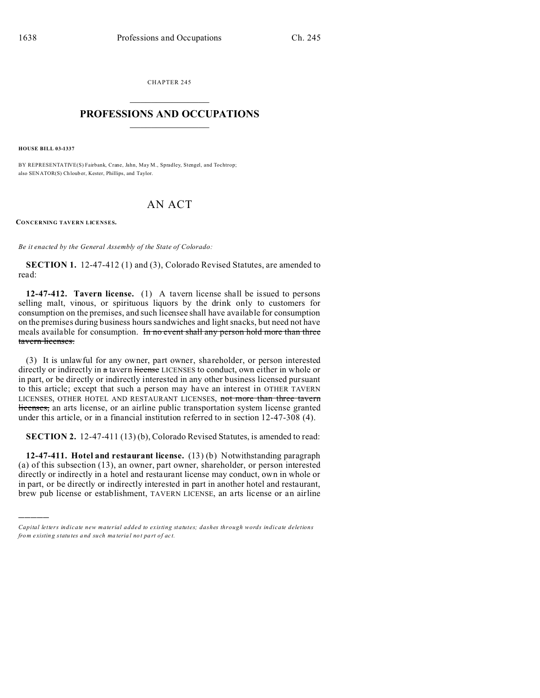CHAPTER 245  $\overline{\phantom{a}}$  , where  $\overline{\phantom{a}}$ 

## **PROFESSIONS AND OCCUPATIONS**  $\frac{1}{2}$  ,  $\frac{1}{2}$  ,  $\frac{1}{2}$  ,  $\frac{1}{2}$  ,  $\frac{1}{2}$  ,  $\frac{1}{2}$

**HOUSE BILL 03-1337**

)))))

BY REPRESENTATIVE(S) Fairbank, Crane, Jahn, May M., Spradley, Stengel, and Tochtrop; also SENATOR(S) Ch loub er, Kester, Phillips, and Taylor.

## AN ACT

**CONCERNING TAVERN LICENSES.**

*Be it enacted by the General Assembly of the State of Colorado:*

**SECTION 1.** 12-47-412 (1) and (3), Colorado Revised Statutes, are amended to read:

**12-47-412. Tavern license.** (1) A tavern license shall be issued to persons selling malt, vinous, or spirituous liquors by the drink only to customers for consumption on the premises, and such licensee shall have available for consumption on the premises during business hours sandwiches and light snacks, but need not have meals available for consumption. In no event shall any person hold more than three tavern licenses.

(3) It is unlawful for any owner, part owner, shareholder, or person interested directly or indirectly in a tavern license LICENSES to conduct, own either in whole or in part, or be directly or indirectly interested in any other business licensed pursuant to this article; except that such a person may have an interest in OTHER TAVERN LICENSES, OTHER HOTEL AND RESTAURANT LICENSES, not more than three tavern licenses, an arts license, or an airline public transportation system license granted under this article, or in a financial institution referred to in section 12-47-308 (4).

**SECTION 2.** 12-47-411 (13) (b), Colorado Revised Statutes, is amended to read:

**12-47-411. Hotel and restaurant license.** (13) (b) Notwithstanding paragraph (a) of this subsection (13), an owner, part owner, shareholder, or person interested directly or indirectly in a hotel and restaurant license may conduct, own in whole or in part, or be directly or indirectly interested in part in another hotel and restaurant, brew pub license or establishment, TAVERN LICENSE, an arts license or an airline

*Capital letters indicate new material added to existing statutes; dashes through words indicate deletions from e xistin g statu tes a nd such ma teria l no t pa rt of ac t.*